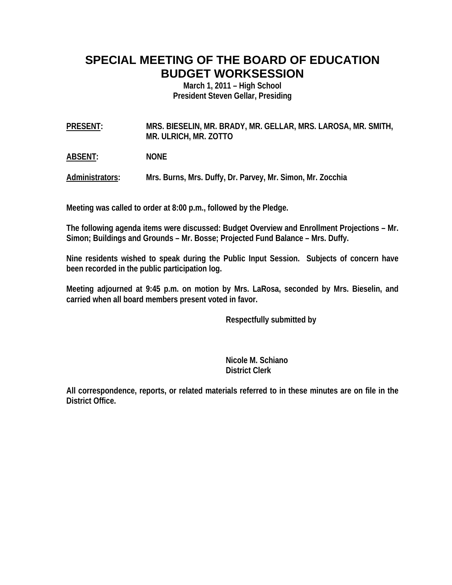# **SPECIAL MEETING OF THE BOARD OF EDUCATION BUDGET WORKSESSION**

**March 1, 2011 – High School President Steven Gellar, Presiding** 

**PRESENT: MRS. BIESELIN, MR. BRADY, MR. GELLAR, MRS. LAROSA, MR. SMITH, MR. ULRICH, MR. ZOTTO** 

**ABSENT: NONE** 

**Administrators: Mrs. Burns, Mrs. Duffy, Dr. Parvey, Mr. Simon, Mr. Zocchia** 

**Meeting was called to order at 8:00 p.m., followed by the Pledge.** 

**The following agenda items were discussed: Budget Overview and Enrollment Projections – Mr. Simon; Buildings and Grounds – Mr. Bosse; Projected Fund Balance – Mrs. Duffy.** 

**Nine residents wished to speak during the Public Input Session. Subjects of concern have been recorded in the public participation log.** 

**Meeting adjourned at 9:45 p.m. on motion by Mrs. LaRosa, seconded by Mrs. Bieselin, and carried when all board members present voted in favor.** 

 **Respectfully submitted by** 

 **Nicole M. Schiano District Clerk**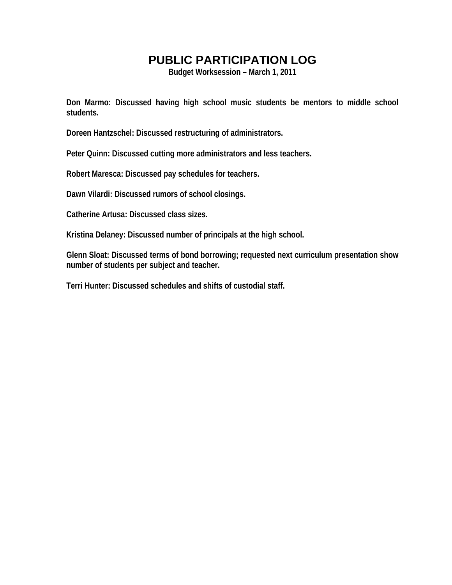**Budget Worksession – March 1, 2011** 

**Don Marmo: Discussed having high school music students be mentors to middle school students.** 

**Doreen Hantzschel: Discussed restructuring of administrators.** 

**Peter Quinn: Discussed cutting more administrators and less teachers.** 

**Robert Maresca: Discussed pay schedules for teachers.** 

**Dawn Vilardi: Discussed rumors of school closings.** 

**Catherine Artusa: Discussed class sizes.** 

**Kristina Delaney: Discussed number of principals at the high school.** 

**Glenn Sloat: Discussed terms of bond borrowing; requested next curriculum presentation show number of students per subject and teacher.** 

**Terri Hunter: Discussed schedules and shifts of custodial staff.**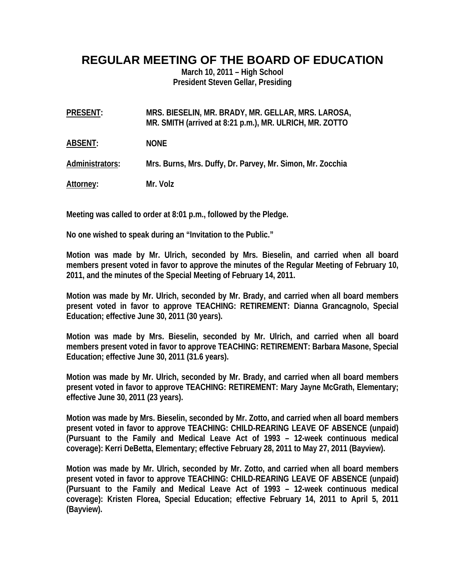#### **REGULAR MEETING OF THE BOARD OF EDUCATION**

**March 10, 2011 – High School President Steven Gellar, Presiding** 

| PRESENT: | MRS. BIESELIN, MR. BRADY, MR. GELLAR, MRS. LAROSA,      |
|----------|---------------------------------------------------------|
|          | MR. SMITH (arrived at 8:21 p.m.), MR. ULRICH, MR. ZOTTO |

**ABSENT: NONE** 

**Administrators: Mrs. Burns, Mrs. Duffy, Dr. Parvey, Mr. Simon, Mr. Zocchia** 

**Attorney: Mr. Volz** 

**Meeting was called to order at 8:01 p.m., followed by the Pledge.** 

**No one wished to speak during an "Invitation to the Public."** 

**Motion was made by Mr. Ulrich, seconded by Mrs. Bieselin, and carried when all board members present voted in favor to approve the minutes of the Regular Meeting of February 10, 2011, and the minutes of the Special Meeting of February 14, 2011.** 

**Motion was made by Mr. Ulrich, seconded by Mr. Brady, and carried when all board members present voted in favor to approve TEACHING: RETIREMENT: Dianna Grancagnolo, Special Education; effective June 30, 2011 (30 years).** 

**Motion was made by Mrs. Bieselin, seconded by Mr. Ulrich, and carried when all board members present voted in favor to approve TEACHING: RETIREMENT: Barbara Masone, Special Education; effective June 30, 2011 (31.6 years).** 

**Motion was made by Mr. Ulrich, seconded by Mr. Brady, and carried when all board members present voted in favor to approve TEACHING: RETIREMENT: Mary Jayne McGrath, Elementary; effective June 30, 2011 (23 years).** 

**Motion was made by Mrs. Bieselin, seconded by Mr. Zotto, and carried when all board members present voted in favor to approve TEACHING: CHILD-REARING LEAVE OF ABSENCE (unpaid) (Pursuant to the Family and Medical Leave Act of 1993 – 12-week continuous medical coverage): Kerri DeBetta, Elementary; effective February 28, 2011 to May 27, 2011 (Bayview).** 

**Motion was made by Mr. Ulrich, seconded by Mr. Zotto, and carried when all board members present voted in favor to approve TEACHING: CHILD-REARING LEAVE OF ABSENCE (unpaid) (Pursuant to the Family and Medical Leave Act of 1993 – 12-week continuous medical coverage): Kristen Florea, Special Education; effective February 14, 2011 to April 5, 2011 (Bayview).**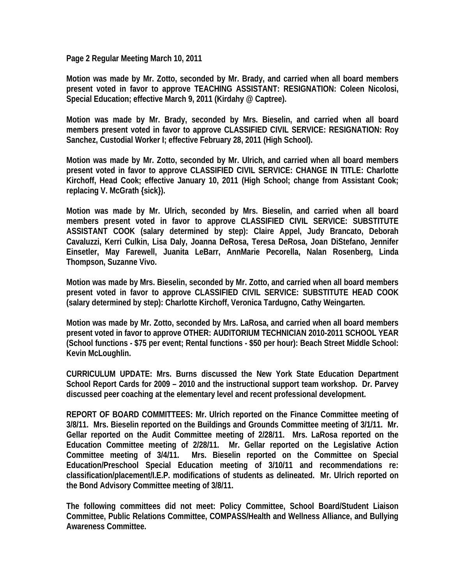**Page 2 Regular Meeting March 10, 2011** 

**Motion was made by Mr. Zotto, seconded by Mr. Brady, and carried when all board members present voted in favor to approve TEACHING ASSISTANT: RESIGNATION: Coleen Nicolosi, Special Education; effective March 9, 2011 (Kirdahy @ Captree).** 

**Motion was made by Mr. Brady, seconded by Mrs. Bieselin, and carried when all board members present voted in favor to approve CLASSIFIED CIVIL SERVICE: RESIGNATION: Roy Sanchez, Custodial Worker I; effective February 28, 2011 (High School).** 

**Motion was made by Mr. Zotto, seconded by Mr. Ulrich, and carried when all board members present voted in favor to approve CLASSIFIED CIVIL SERVICE: CHANGE IN TITLE: Charlotte Kirchoff, Head Cook; effective January 10, 2011 (High School; change from Assistant Cook; replacing V. McGrath {sick}).** 

**Motion was made by Mr. Ulrich, seconded by Mrs. Bieselin, and carried when all board members present voted in favor to approve CLASSIFIED CIVIL SERVICE: SUBSTITUTE ASSISTANT COOK (salary determined by step): Claire Appel, Judy Brancato, Deborah Cavaluzzi, Kerri Culkin, Lisa Daly, Joanna DeRosa, Teresa DeRosa, Joan DiStefano, Jennifer Einsetler, May Farewell, Juanita LeBarr, AnnMarie Pecorella, Nalan Rosenberg, Linda Thompson, Suzanne Vivo.** 

**Motion was made by Mrs. Bieselin, seconded by Mr. Zotto, and carried when all board members present voted in favor to approve CLASSIFIED CIVIL SERVICE: SUBSTITUTE HEAD COOK (salary determined by step): Charlotte Kirchoff, Veronica Tardugno, Cathy Weingarten.** 

**Motion was made by Mr. Zotto, seconded by Mrs. LaRosa, and carried when all board members present voted in favor to approve OTHER: AUDITORIUM TECHNICIAN 2010-2011 SCHOOL YEAR (School functions - \$75 per event; Rental functions - \$50 per hour): Beach Street Middle School: Kevin McLoughlin.** 

**CURRICULUM UPDATE: Mrs. Burns discussed the New York State Education Department School Report Cards for 2009 – 2010 and the instructional support team workshop. Dr. Parvey discussed peer coaching at the elementary level and recent professional development.** 

**REPORT OF BOARD COMMITTEES: Mr. Ulrich reported on the Finance Committee meeting of 3/8/11. Mrs. Bieselin reported on the Buildings and Grounds Committee meeting of 3/1/11. Mr. Gellar reported on the Audit Committee meeting of 2/28/11. Mrs. LaRosa reported on the Education Committee meeting of 2/28/11. Mr. Gellar reported on the Legislative Action Committee meeting of 3/4/11. Mrs. Bieselin reported on the Committee on Special Education/Preschool Special Education meeting of 3/10/11 and recommendations re: classification/placement/I.E.P. modifications of students as delineated. Mr. Ulrich reported on the Bond Advisory Committee meeting of 3/8/11.** 

**The following committees did not meet: Policy Committee, School Board/Student Liaison Committee, Public Relations Committee, COMPASS/Health and Wellness Alliance, and Bullying Awareness Committee.**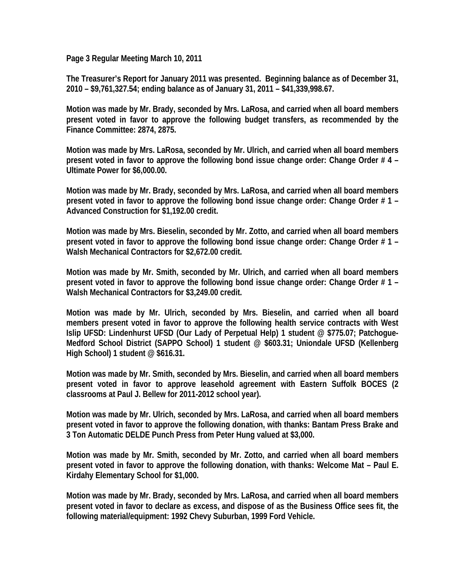**Page 3 Regular Meeting March 10, 2011** 

**The Treasurer's Report for January 2011 was presented. Beginning balance as of December 31, 2010 – \$9,761,327.54; ending balance as of January 31, 2011 – \$41,339,998.67.** 

**Motion was made by Mr. Brady, seconded by Mrs. LaRosa, and carried when all board members present voted in favor to approve the following budget transfers, as recommended by the Finance Committee: 2874, 2875.** 

**Motion was made by Mrs. LaRosa, seconded by Mr. Ulrich, and carried when all board members present voted in favor to approve the following bond issue change order: Change Order # 4 – Ultimate Power for \$6,000.00.** 

**Motion was made by Mr. Brady, seconded by Mrs. LaRosa, and carried when all board members present voted in favor to approve the following bond issue change order: Change Order # 1 – Advanced Construction for \$1,192.00 credit.** 

**Motion was made by Mrs. Bieselin, seconded by Mr. Zotto, and carried when all board members present voted in favor to approve the following bond issue change order: Change Order # 1 – Walsh Mechanical Contractors for \$2,672.00 credit.** 

**Motion was made by Mr. Smith, seconded by Mr. Ulrich, and carried when all board members present voted in favor to approve the following bond issue change order: Change Order # 1 – Walsh Mechanical Contractors for \$3,249.00 credit.** 

**Motion was made by Mr. Ulrich, seconded by Mrs. Bieselin, and carried when all board members present voted in favor to approve the following health service contracts with West Islip UFSD: Lindenhurst UFSD (Our Lady of Perpetual Help) 1 student @ \$775.07; Patchogue-Medford School District (SAPPO School) 1 student @ \$603.31; Uniondale UFSD (Kellenberg High School) 1 student @ \$616.31.** 

**Motion was made by Mr. Smith, seconded by Mrs. Bieselin, and carried when all board members present voted in favor to approve leasehold agreement with Eastern Suffolk BOCES (2 classrooms at Paul J. Bellew for 2011-2012 school year).** 

**Motion was made by Mr. Ulrich, seconded by Mrs. LaRosa, and carried when all board members present voted in favor to approve the following donation, with thanks: Bantam Press Brake and 3 Ton Automatic DELDE Punch Press from Peter Hung valued at \$3,000.** 

**Motion was made by Mr. Smith, seconded by Mr. Zotto, and carried when all board members present voted in favor to approve the following donation, with thanks: Welcome Mat – Paul E. Kirdahy Elementary School for \$1,000.** 

**Motion was made by Mr. Brady, seconded by Mrs. LaRosa, and carried when all board members present voted in favor to declare as excess, and dispose of as the Business Office sees fit, the following material/equipment: 1992 Chevy Suburban, 1999 Ford Vehicle.**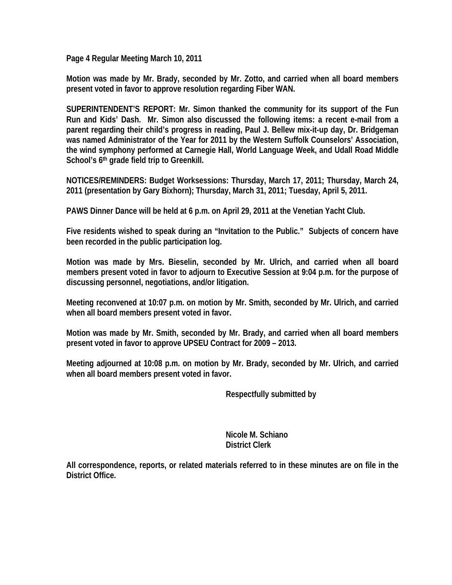**Page 4 Regular Meeting March 10, 2011** 

**Motion was made by Mr. Brady, seconded by Mr. Zotto, and carried when all board members present voted in favor to approve resolution regarding Fiber WAN.** 

**SUPERINTENDENT'S REPORT: Mr. Simon thanked the community for its support of the Fun Run and Kids' Dash. Mr. Simon also discussed the following items: a recent e-mail from a parent regarding their child's progress in reading, Paul J. Bellew mix-it-up day, Dr. Bridgeman was named Administrator of the Year for 2011 by the Western Suffolk Counselors' Association, the wind symphony performed at Carnegie Hall, World Language Week, and Udall Road Middle School's 6th grade field trip to Greenkill.** 

**NOTICES/REMINDERS: Budget Worksessions: Thursday, March 17, 2011; Thursday, March 24, 2011 (presentation by Gary Bixhorn); Thursday, March 31, 2011; Tuesday, April 5, 2011.** 

**PAWS Dinner Dance will be held at 6 p.m. on April 29, 2011 at the Venetian Yacht Club.** 

**Five residents wished to speak during an "Invitation to the Public." Subjects of concern have been recorded in the public participation log.** 

**Motion was made by Mrs. Bieselin, seconded by Mr. Ulrich, and carried when all board members present voted in favor to adjourn to Executive Session at 9:04 p.m. for the purpose of discussing personnel, negotiations, and/or litigation.** 

**Meeting reconvened at 10:07 p.m. on motion by Mr. Smith, seconded by Mr. Ulrich, and carried when all board members present voted in favor.** 

**Motion was made by Mr. Smith, seconded by Mr. Brady, and carried when all board members present voted in favor to approve UPSEU Contract for 2009 – 2013.** 

**Meeting adjourned at 10:08 p.m. on motion by Mr. Brady, seconded by Mr. Ulrich, and carried when all board members present voted in favor.** 

 **Respectfully submitted by** 

 **Nicole M. Schiano District Clerk**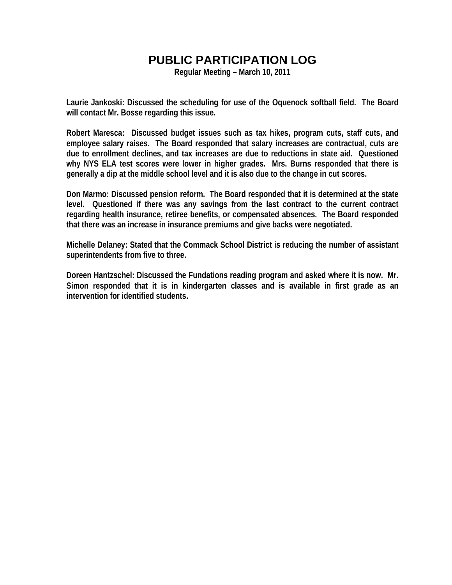**Regular Meeting – March 10, 2011** 

**Laurie Jankoski: Discussed the scheduling for use of the Oquenock softball field. The Board will contact Mr. Bosse regarding this issue.** 

**Robert Maresca: Discussed budget issues such as tax hikes, program cuts, staff cuts, and employee salary raises. The Board responded that salary increases are contractual, cuts are due to enrollment declines, and tax increases are due to reductions in state aid. Questioned why NYS ELA test scores were lower in higher grades. Mrs. Burns responded that there is generally a dip at the middle school level and it is also due to the change in cut scores.** 

**Don Marmo: Discussed pension reform. The Board responded that it is determined at the state level. Questioned if there was any savings from the last contract to the current contract regarding health insurance, retiree benefits, or compensated absences. The Board responded that there was an increase in insurance premiums and give backs were negotiated.** 

**Michelle Delaney: Stated that the Commack School District is reducing the number of assistant superintendents from five to three.** 

**Doreen Hantzschel: Discussed the Fundations reading program and asked where it is now. Mr. Simon responded that it is in kindergarten classes and is available in first grade as an intervention for identified students.**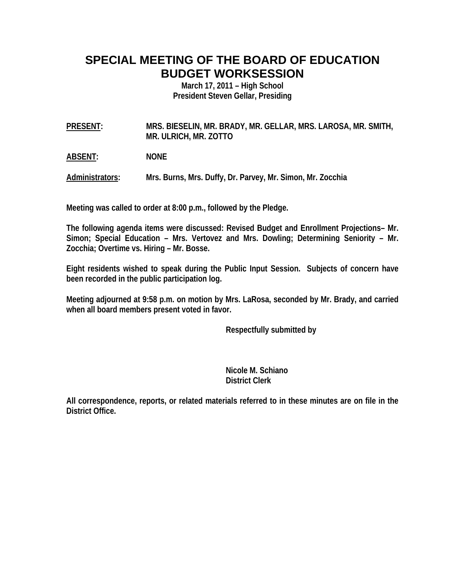# **SPECIAL MEETING OF THE BOARD OF EDUCATION BUDGET WORKSESSION**

**March 17, 2011 – High School President Steven Gellar, Presiding** 

**PRESENT: MRS. BIESELIN, MR. BRADY, MR. GELLAR, MRS. LAROSA, MR. SMITH, MR. ULRICH, MR. ZOTTO** 

**ABSENT: NONE** 

**Administrators: Mrs. Burns, Mrs. Duffy, Dr. Parvey, Mr. Simon, Mr. Zocchia** 

**Meeting was called to order at 8:00 p.m., followed by the Pledge.** 

**The following agenda items were discussed: Revised Budget and Enrollment Projections– Mr. Simon; Special Education – Mrs. Vertovez and Mrs. Dowling; Determining Seniority – Mr. Zocchia; Overtime vs. Hiring – Mr. Bosse.** 

**Eight residents wished to speak during the Public Input Session. Subjects of concern have been recorded in the public participation log.** 

**Meeting adjourned at 9:58 p.m. on motion by Mrs. LaRosa, seconded by Mr. Brady, and carried when all board members present voted in favor.** 

 **Respectfully submitted by** 

 **Nicole M. Schiano District Clerk**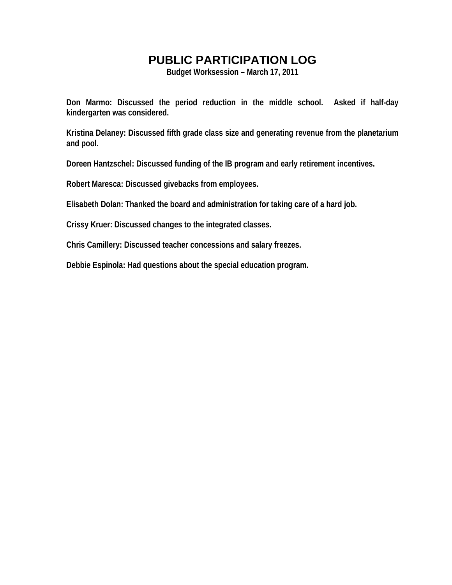**Budget Worksession – March 17, 2011** 

**Don Marmo: Discussed the period reduction in the middle school. Asked if half-day kindergarten was considered.** 

**Kristina Delaney: Discussed fifth grade class size and generating revenue from the planetarium and pool.** 

**Doreen Hantzschel: Discussed funding of the IB program and early retirement incentives.** 

**Robert Maresca: Discussed givebacks from employees.** 

**Elisabeth Dolan: Thanked the board and administration for taking care of a hard job.** 

**Crissy Kruer: Discussed changes to the integrated classes.** 

**Chris Camillery: Discussed teacher concessions and salary freezes.** 

**Debbie Espinola: Had questions about the special education program.**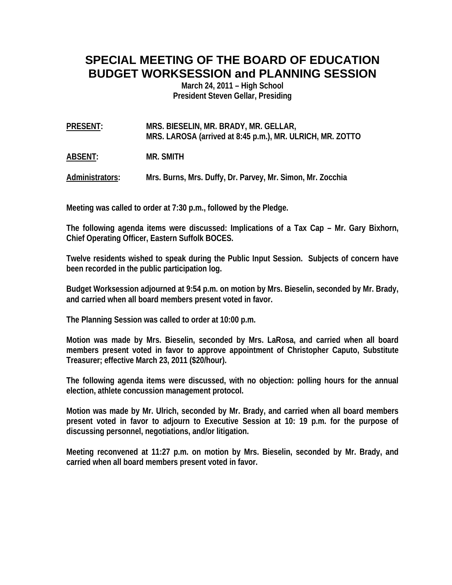# **SPECIAL MEETING OF THE BOARD OF EDUCATION BUDGET WORKSESSION and PLANNING SESSION**

**March 24, 2011 – High School President Steven Gellar, Presiding** 

**PRESENT: MRS. BIESELIN, MR. BRADY, MR. GELLAR, MRS. LAROSA (arrived at 8:45 p.m.), MR. ULRICH, MR. ZOTTO** 

**ABSENT: MR. SMITH** 

**Administrators: Mrs. Burns, Mrs. Duffy, Dr. Parvey, Mr. Simon, Mr. Zocchia** 

**Meeting was called to order at 7:30 p.m., followed by the Pledge.** 

**The following agenda items were discussed: Implications of a Tax Cap – Mr. Gary Bixhorn, Chief Operating Officer, Eastern Suffolk BOCES.** 

**Twelve residents wished to speak during the Public Input Session. Subjects of concern have been recorded in the public participation log.** 

**Budget Worksession adjourned at 9:54 p.m. on motion by Mrs. Bieselin, seconded by Mr. Brady, and carried when all board members present voted in favor.** 

**The Planning Session was called to order at 10:00 p.m.** 

**Motion was made by Mrs. Bieselin, seconded by Mrs. LaRosa, and carried when all board members present voted in favor to approve appointment of Christopher Caputo, Substitute Treasurer; effective March 23, 2011 (\$20/hour).** 

**The following agenda items were discussed, with no objection: polling hours for the annual election, athlete concussion management protocol.** 

**Motion was made by Mr. Ulrich, seconded by Mr. Brady, and carried when all board members present voted in favor to adjourn to Executive Session at 10: 19 p.m. for the purpose of discussing personnel, negotiations, and/or litigation.** 

**Meeting reconvened at 11:27 p.m. on motion by Mrs. Bieselin, seconded by Mr. Brady, and carried when all board members present voted in favor.**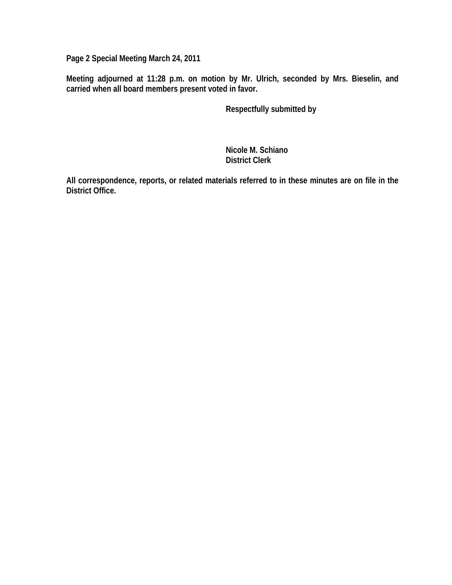**Page 2 Special Meeting March 24, 2011** 

**Meeting adjourned at 11:28 p.m. on motion by Mr. Ulrich, seconded by Mrs. Bieselin, and carried when all board members present voted in favor.** 

 **Respectfully submitted by** 

 **Nicole M. Schiano District Clerk**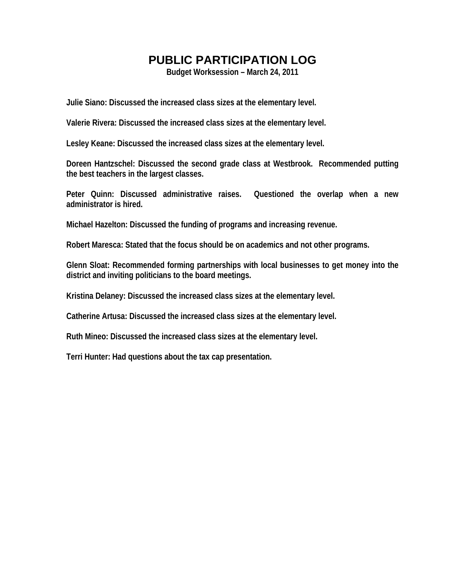**Budget Worksession – March 24, 2011** 

**Julie Siano: Discussed the increased class sizes at the elementary level.** 

**Valerie Rivera: Discussed the increased class sizes at the elementary level.** 

**Lesley Keane: Discussed the increased class sizes at the elementary level.** 

**Doreen Hantzschel: Discussed the second grade class at Westbrook. Recommended putting the best teachers in the largest classes.** 

**Peter Quinn: Discussed administrative raises. Questioned the overlap when a new administrator is hired.** 

**Michael Hazelton: Discussed the funding of programs and increasing revenue.** 

**Robert Maresca: Stated that the focus should be on academics and not other programs.** 

**Glenn Sloat: Recommended forming partnerships with local businesses to get money into the district and inviting politicians to the board meetings.** 

**Kristina Delaney: Discussed the increased class sizes at the elementary level.** 

**Catherine Artusa: Discussed the increased class sizes at the elementary level.** 

**Ruth Mineo: Discussed the increased class sizes at the elementary level.** 

**Terri Hunter: Had questions about the tax cap presentation.**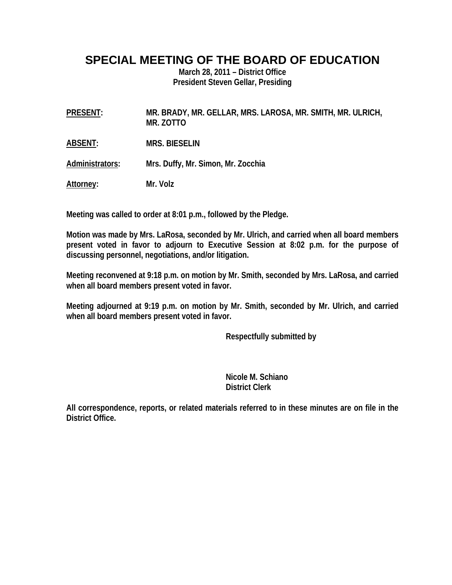#### **SPECIAL MEETING OF THE BOARD OF EDUCATION**

**March 28, 2011 – District Office President Steven Gellar, Presiding** 

**PRESENT: MR. BRADY, MR. GELLAR, MRS. LAROSA, MR. SMITH, MR. ULRICH, MR. ZOTTO** 

**ABSENT: MRS. BIESELIN** 

**Administrators: Mrs. Duffy, Mr. Simon, Mr. Zocchia** 

**Attorney: Mr. Volz** 

**Meeting was called to order at 8:01 p.m., followed by the Pledge.** 

**Motion was made by Mrs. LaRosa, seconded by Mr. Ulrich, and carried when all board members present voted in favor to adjourn to Executive Session at 8:02 p.m. for the purpose of discussing personnel, negotiations, and/or litigation.** 

**Meeting reconvened at 9:18 p.m. on motion by Mr. Smith, seconded by Mrs. LaRosa, and carried when all board members present voted in favor.** 

**Meeting adjourned at 9:19 p.m. on motion by Mr. Smith, seconded by Mr. Ulrich, and carried when all board members present voted in favor.** 

 **Respectfully submitted by** 

 **Nicole M. Schiano District Clerk**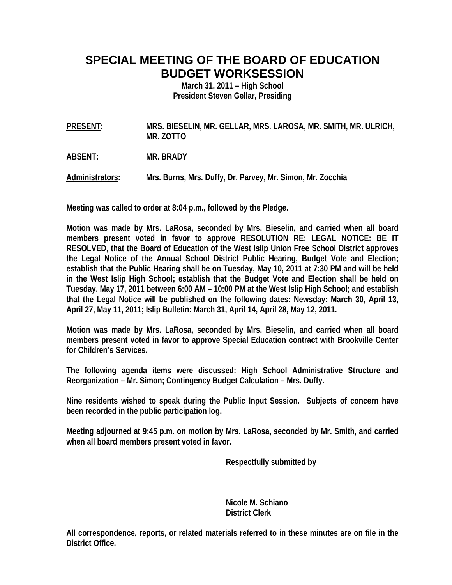# **SPECIAL MEETING OF THE BOARD OF EDUCATION BUDGET WORKSESSION**

**March 31, 2011 – High School President Steven Gellar, Presiding** 

**PRESENT: MRS. BIESELIN, MR. GELLAR, MRS. LAROSA, MR. SMITH, MR. ULRICH, MR. ZOTTO** 

**ABSENT: MR. BRADY** 

**Administrators: Mrs. Burns, Mrs. Duffy, Dr. Parvey, Mr. Simon, Mr. Zocchia** 

**Meeting was called to order at 8:04 p.m., followed by the Pledge.** 

**Motion was made by Mrs. LaRosa, seconded by Mrs. Bieselin, and carried when all board members present voted in favor to approve RESOLUTION RE: LEGAL NOTICE: BE IT RESOLVED, that the Board of Education of the West Islip Union Free School District approves the Legal Notice of the Annual School District Public Hearing, Budget Vote and Election; establish that the Public Hearing shall be on Tuesday, May 10, 2011 at 7:30 PM and will be held in the West Islip High School; establish that the Budget Vote and Election shall be held on Tuesday, May 17, 2011 between 6:00 AM – 10:00 PM at the West Islip High School; and establish that the Legal Notice will be published on the following dates: Newsday: March 30, April 13, April 27, May 11, 2011; Islip Bulletin: March 31, April 14, April 28, May 12, 2011.** 

**Motion was made by Mrs. LaRosa, seconded by Mrs. Bieselin, and carried when all board members present voted in favor to approve Special Education contract with Brookville Center for Children's Services.** 

**The following agenda items were discussed: High School Administrative Structure and Reorganization – Mr. Simon; Contingency Budget Calculation – Mrs. Duffy.** 

**Nine residents wished to speak during the Public Input Session. Subjects of concern have been recorded in the public participation log.** 

**Meeting adjourned at 9:45 p.m. on motion by Mrs. LaRosa, seconded by Mr. Smith, and carried when all board members present voted in favor.** 

 **Respectfully submitted by** 

 **Nicole M. Schiano District Clerk**